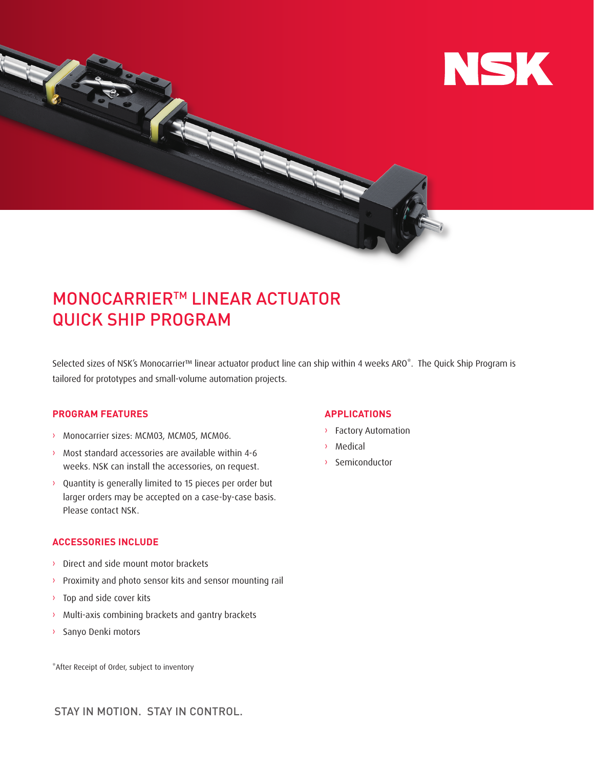

# MONOCARRIERTM LINEAR ACTUATOR QUICK SHIP PROGRAM

Selected sizes of NSK's Monocarrier™ linear actuator product line can ship within 4 weeks ARO\*. The Quick Ship Program is tailored for prototypes and small-volume automation projects.

## **PROGRAM FEATURES**

- › Monocarrier sizes: MCM03, MCM05, MCM06.
- › Most standard accessories are available within 4-6 weeks. NSK can install the accessories, on request.
- › Quantity is generally limited to 15 pieces per order but larger orders may be accepted on a case-by-case basis. Please contact NSK.

### **ACCESSORIES INCLUDE**

- › Direct and side mount motor brackets
- › Proximity and photo sensor kits and sensor mounting rail
- › Top and side cover kits
- › Multi-axis combining brackets and gantry brackets
- › Sanyo Denki motors

\*After Receipt of Order, subject to inventory

### **APPLICATIONS**

- › Factory Automation
- › Medical
- › Semiconductor

STAY IN MOTION. STAY IN CONTROL.